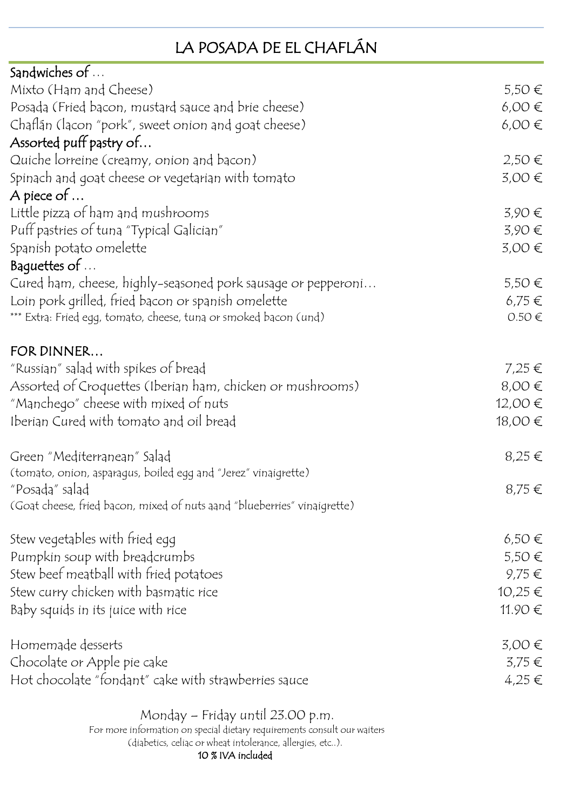## LA POSADA DE EL CHAFLÁN

| Sandwiches of $\dots$                                                    |            |
|--------------------------------------------------------------------------|------------|
| Mixto (Ham and Cheese)                                                   | $5,50 \in$ |
| Posada (Fried bacon, mustard sauce and brie cheese)                      | $6,00 \in$ |
| Chaflán (lacon "pork", sweet onion and goat cheese)                      | $6,00 \in$ |
| Assorted puff pastry of                                                  |            |
| Quiche lorreine (creamy, onion and bacon)                                | $2,50 \in$ |
| Spinach and goat cheese or vegetarian with tomato                        | $3,00 \in$ |
| A piece of $\dots$                                                       |            |
| Little pizza of ham and mushrooms                                        | $3,90 \in$ |
| Puff pastries of tuna "Typical Galician"                                 | 3,90€      |
| Spanish potato omelette                                                  | $3,00 \in$ |
| Baquettes of                                                             |            |
| Cured ham, cheese, highly-seasoned pork sausage or pepperoni             | $5,50 \in$ |
| Loin pork grilled, fried bacon or spanish omelette                       | $6,75 \in$ |
| *** Extra: Fried egg, tomato, cheese, tuna or smoked bacon (und)         | $0.50 \in$ |
| FOR DINNER                                                               |            |
| "Russian" salad with spikes of bread                                     | $7,25 \in$ |
| Assorted of Croquettes (Iberian ham, chicken or mushrooms)               | $8,00 \in$ |
| "Manchego" cheese with mixed of nuts                                     | 12,00 €    |
| Iberian Cured with tomato and oil bread                                  | 18,00 €    |
| Green "Mediterranean" Salad                                              | $8,25 \in$ |
| (tomato, onion, asparagus, boiled egg and "Jerez" vinaigrette)           |            |
| "Posada" salad                                                           | $8,75 \in$ |
| (Goat cheese, fried bacon, mixed of nuts aand "blueberries" vinaigrette) |            |
| Stew vegetables with fried egg                                           | $6,50 \in$ |
| Pumpkin soup with breadcrumbs                                            | $5,50 \in$ |
| Stew beef meatball with fried potatoes                                   | $9.75 \in$ |
| Stew curry chicken with basmatic rice                                    | 10,25 €    |
| Baby squids in its juice with rice                                       | 11.90€     |
| Homemade desserts                                                        | $3,00 \in$ |
| Chocolate or Apple pie cake                                              | $3,75 \in$ |
| Hot chocolate "fondant" cake with strawberries sauce                     | $4,25 \in$ |
|                                                                          |            |

Monday – Friday until 23.00 p.m.

For more information on special dietary requirements consult our waiters

(diabetics, celiac or wheat intolerance, allergies, etc..).

## 10 % IVA included